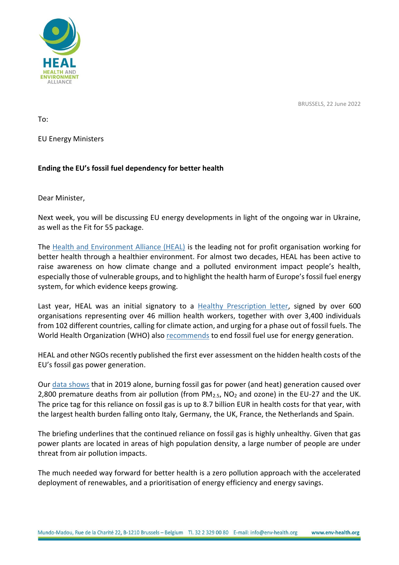

BRUSSELS, 22 June 2022

To:

EU Energy Ministers

## **Ending the EU's fossil fuel dependency for better health**

Dear Minister,

Next week, you will be discussing EU energy developments in light of the ongoing war in Ukraine, as well as the Fit for 55 package.

The [Health and Environment Alliance \(HEAL\)](https://www.env-health.org/) is the leading not for profit organisation working for better health through a healthier environment. For almost two decades, HEAL has been active to raise awareness on how climate change and a polluted environment impact people's health, especially those of vulnerable groups, and to highlight the health harm of Europe's fossil fuel energy system, for which evidence keeps growing.

Last year, HEAL was an initial signatory to a [Healthy Prescription letter,](https://healthyclimateletter.net/) signed by over 600 organisations representing over 46 million health workers, together with over 3,400 individuals from 102 different countries, calling for climate action, and urging for a phase out of fossil fuels. The World Health Organization (WHO) also [recommends](https://www.who.int/publications/i/item/9789240036727) to end fossil fuel use for energy generation.

HEAL and other NGOs recently published the first ever assessment on the hidden health costs of the EU's fossil gas power generation.

Our [data shows](https://www.env-health.org/false-fix/) that in 2019 alone, burning fossil gas for power (and heat) generation caused over 2,800 premature deaths from air pollution (from  $PM<sub>2.5</sub>$ , NO<sub>2</sub> and ozone) in the EU-27 and the UK. The price tag for this reliance on fossil gas is up to 8.7 billion EUR in health costs for that year, with the largest health burden falling onto Italy, Germany, the UK, France, the Netherlands and Spain.

The briefing underlines that the continued reliance on fossil gas is highly unhealthy. Given that gas power plants are located in areas of high population density, a large number of people are under threat from air pollution impacts.

The much needed way forward for better health is a zero pollution approach with the accelerated deployment of renewables, and a prioritisation of energy efficiency and energy savings.